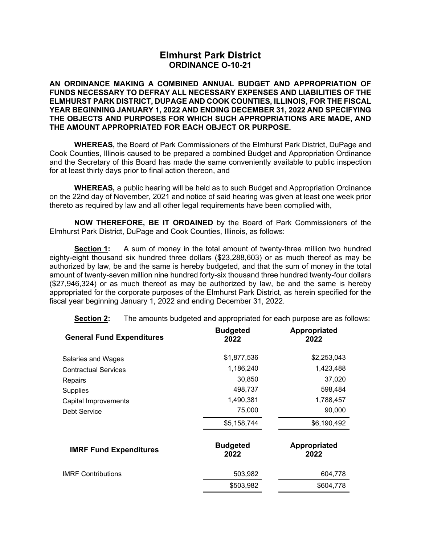# **Elmhurst Park District ORDINANCE O-10-21**

**AN ORDINANCE MAKING A COMBINED ANNUAL BUDGET AND APPROPRIATION OF FUNDS NECESSARY TO DEFRAY ALL NECESSARY EXPENSES AND LIABILITIES OF THE ELMHURST PARK DISTRICT, DUPAGE AND COOK COUNTIES, ILLINOIS, FOR THE FISCAL YEAR BEGINNING JANUARY 1, 2022 AND ENDING DECEMBER 31, 2022 AND SPECIFYING THE OBJECTS AND PURPOSES FOR WHICH SUCH APPROPRIATIONS ARE MADE, AND THE AMOUNT APPROPRIATED FOR EACH OBJECT OR PURPOSE.** 

 **WHEREAS,** the Board of Park Commissioners of the Elmhurst Park District, DuPage and Cook Counties, Illinois caused to be prepared a combined Budget and Appropriation Ordinance and the Secretary of this Board has made the same conveniently available to public inspection for at least thirty days prior to final action thereon, and

**WHEREAS,** a public hearing will be held as to such Budget and Appropriation Ordinance on the 22nd day of November, 2021 and notice of said hearing was given at least one week prior thereto as required by law and all other legal requirements have been complied with,

**NOW THEREFORE, BE IT ORDAINED** by the Board of Park Commissioners of the Elmhurst Park District, DuPage and Cook Counties, Illinois, as follows:

 **Section 1:** A sum of money in the total amount of twenty-three million two hundred eighty-eight thousand six hundred three dollars (\$23,288,603) or as much thereof as may be authorized by law, be and the same is hereby budgeted, and that the sum of money in the total amount of twenty-seven million nine hundred forty-six thousand three hundred twenty-four dollars (\$27,946,324) or as much thereof as may be authorized by law, be and the same is hereby appropriated for the corporate purposes of the Elmhurst Park District, as herein specified for the fiscal year beginning January 1, 2022 and ending December 31, 2022.

**Section 2:** The amounts budgeted and appropriated for each purpose are as follows:

| <b>General Fund Expenditures</b> | <b>Budgeted</b><br>2022 | Appropriated<br>2022        |
|----------------------------------|-------------------------|-----------------------------|
| Salaries and Wages               | \$1,877,536             | \$2,253,043                 |
| <b>Contractual Services</b>      | 1,186,240               | 1,423,488                   |
| Repairs                          | 30,850                  | 37,020                      |
| <b>Supplies</b>                  | 498,737                 | 598,484                     |
| Capital Improvements             | 1,490,381               | 1,788,457                   |
| Debt Service                     | 75,000                  | 90,000                      |
|                                  | \$5,158,744             | \$6,190,492                 |
| <b>IMRF Fund Expenditures</b>    | <b>Budgeted</b><br>2022 | <b>Appropriated</b><br>2022 |
| <b>IMRF Contributions</b>        | 503,982                 | 604,778                     |
|                                  | \$503,982               | \$604,778                   |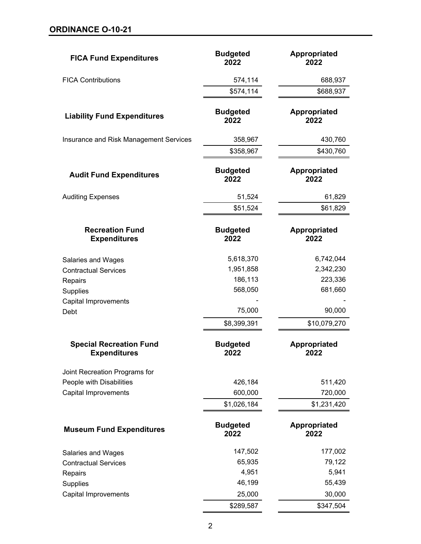| <b>FICA Fund Expenditures</b>                         | <b>Budgeted</b><br>2022 | Appropriated<br>2022        |
|-------------------------------------------------------|-------------------------|-----------------------------|
| <b>FICA Contributions</b>                             | 574,114                 | 688,937                     |
|                                                       | \$574,114               | \$688,937                   |
| <b>Liability Fund Expenditures</b>                    | <b>Budgeted</b><br>2022 | <b>Appropriated</b><br>2022 |
| Insurance and Risk Management Services                | 358,967                 | 430,760                     |
|                                                       | \$358,967               | \$430,760                   |
| <b>Audit Fund Expenditures</b>                        | <b>Budgeted</b><br>2022 | <b>Appropriated</b><br>2022 |
| <b>Auditing Expenses</b>                              | 51,524                  | 61,829                      |
|                                                       | \$51,524                | \$61,829                    |
| <b>Recreation Fund</b><br><b>Expenditures</b>         | <b>Budgeted</b><br>2022 | <b>Appropriated</b><br>2022 |
| Salaries and Wages                                    | 5,618,370               | 6,742,044                   |
| <b>Contractual Services</b>                           | 1,951,858               | 2,342,230                   |
| Repairs                                               | 186,113                 | 223,336                     |
| Supplies                                              | 568,050                 | 681,660                     |
| Capital Improvements                                  |                         |                             |
| Debt                                                  | 75,000                  | 90,000                      |
|                                                       | \$8,399,391             | \$10,079,270                |
| <b>Special Recreation Fund</b><br><b>Expenditures</b> | <b>Budgeted</b><br>2022 | Appropriated<br>2022        |
| Joint Recreation Programs for                         |                         |                             |
| People with Disabilities                              | 426,184                 | 511,420                     |
| <b>Capital Improvements</b>                           | 600,000                 | 720,000                     |
|                                                       | \$1,026,184             | \$1,231,420                 |
| <b>Museum Fund Expenditures</b>                       | <b>Budgeted</b><br>2022 | Appropriated<br>2022        |
| Salaries and Wages                                    | 147,502                 | 177,002                     |
| <b>Contractual Services</b>                           | 65,935                  | 79,122                      |
| Repairs                                               | 4,951                   | 5,941                       |
| Supplies                                              | 46,199                  | 55,439                      |
| <b>Capital Improvements</b>                           | 25,000                  | 30,000                      |
|                                                       | \$289,587               | \$347,504                   |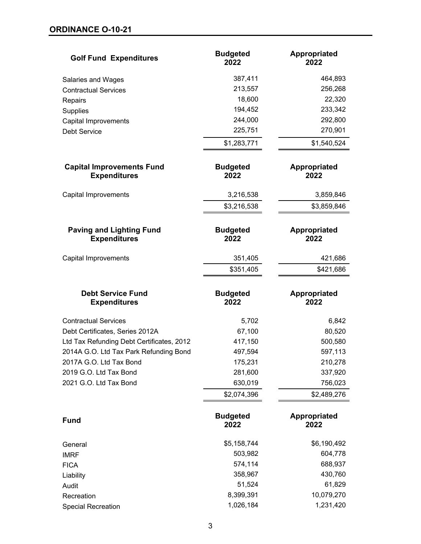| <b>Golf Fund Expenditures</b>                           | <b>Budgeted</b><br>2022 | <b>Appropriated</b><br>2022 |
|---------------------------------------------------------|-------------------------|-----------------------------|
| Salaries and Wages                                      | 387,411                 | 464,893                     |
| <b>Contractual Services</b>                             | 213,557                 | 256,268                     |
| Repairs                                                 | 18,600                  | 22,320                      |
| Supplies                                                | 194,452                 | 233,342                     |
| <b>Capital Improvements</b>                             | 244,000                 | 292,800                     |
| <b>Debt Service</b>                                     | 225,751                 | 270,901                     |
|                                                         | \$1,283,771             | \$1,540,524                 |
| <b>Capital Improvements Fund</b><br><b>Expenditures</b> | <b>Budgeted</b><br>2022 | <b>Appropriated</b><br>2022 |
| <b>Capital Improvements</b>                             | 3,216,538               | 3,859,846                   |
|                                                         | \$3,216,538             | \$3,859,846                 |
| <b>Paving and Lighting Fund</b><br><b>Expenditures</b>  | <b>Budgeted</b><br>2022 | Appropriated<br>2022        |
| Capital Improvements                                    | 351,405                 | 421,686                     |
|                                                         | \$351,405               | \$421,686                   |
| <b>Debt Service Fund</b><br><b>Expenditures</b>         | <b>Budgeted</b><br>2022 | <b>Appropriated</b><br>2022 |
| <b>Contractual Services</b>                             | 5,702                   | 6,842                       |
| Debt Certificates, Series 2012A                         | 67,100                  | 80,520                      |
| Ltd Tax Refunding Debt Certificates, 2012               | 417,150                 | 500,580                     |
| 2014A G.O. Ltd Tax Park Refunding Bond                  | 497,594                 | 597,113                     |
| 2017A G.O. Ltd Tax Bond                                 | 175,231                 | 210,278                     |
| 2019 G.O. Ltd Tax Bond                                  | 281,600                 | 337,920                     |
| 2021 G.O. Ltd Tax Bond                                  | 630,019                 | 756,023                     |
|                                                         | \$2,074,396             | \$2,489,276                 |
| <b>Fund</b>                                             | <b>Budgeted</b><br>2022 | Appropriated<br>2022        |
| General                                                 | \$5,158,744             | \$6,190,492                 |
| <b>IMRF</b>                                             | 503,982                 | 604,778                     |
| <b>FICA</b>                                             | 574,114                 | 688,937                     |
| Liability                                               | 358,967                 | 430,760                     |
| Audit                                                   | 51,524                  | 61,829                      |
| Recreation                                              | 8,399,391               | 10,079,270                  |
| <b>Special Recreation</b>                               | 1,026,184               | 1,231,420                   |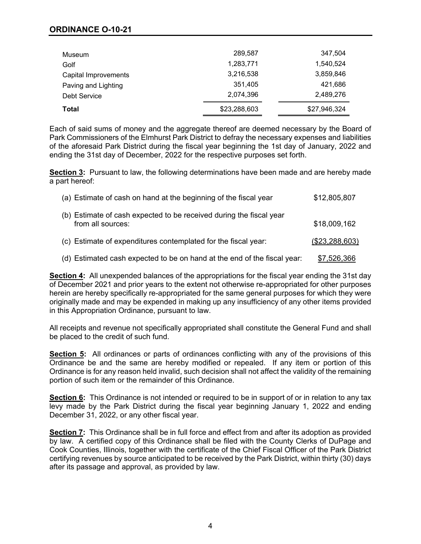## **ORDINANCE O-10-21**

| Museum               | 289,587      | 347.504      |
|----------------------|--------------|--------------|
| Golf                 | 1,283,771    | 1,540,524    |
| Capital Improvements | 3,216,538    | 3,859,846    |
| Paving and Lighting  | 351,405      | 421.686      |
| Debt Service         | 2,074,396    | 2,489,276    |
| <b>Total</b>         | \$23,288,603 | \$27,946,324 |

Each of said sums of money and the aggregate thereof are deemed necessary by the Board of Park Commissioners of the Elmhurst Park District to defray the necessary expenses and liabilities of the aforesaid Park District during the fiscal year beginning the 1st day of January, 2022 and ending the 31st day of December, 2022 for the respective purposes set forth.

**Section 3:** Pursuant to law, the following determinations have been made and are hereby made a part hereof:

| (a) Estimate of cash on hand at the beginning of the fiscal year                         | \$12,805,807   |
|------------------------------------------------------------------------------------------|----------------|
| (b) Estimate of cash expected to be received during the fiscal year<br>from all sources: | \$18,009,162   |
| (c) Estimate of expenditures contemplated for the fiscal year:                           | (\$23,288,603) |
| (d) Estimated cash expected to be on hand at the end of the fiscal year:                 | \$7,526,366    |

**Section 4:** All unexpended balances of the appropriations for the fiscal year ending the 31st day of December 2021 and prior years to the extent not otherwise re-appropriated for other purposes herein are hereby specifically re-appropriated for the same general purposes for which they were originally made and may be expended in making up any insufficiency of any other items provided in this Appropriation Ordinance, pursuant to law.

All receipts and revenue not specifically appropriated shall constitute the General Fund and shall be placed to the credit of such fund.

**Section 5:** All ordinances or parts of ordinances conflicting with any of the provisions of this Ordinance be and the same are hereby modified or repealed. If any item or portion of this Ordinance is for any reason held invalid, such decision shall not affect the validity of the remaining portion of such item or the remainder of this Ordinance.

**Section 6:** This Ordinance is not intended or required to be in support of or in relation to any tax levy made by the Park District during the fiscal year beginning January 1, 2022 and ending December 31, 2022, or any other fiscal year.

**Section 7:** This Ordinance shall be in full force and effect from and after its adoption as provided by law. A certified copy of this Ordinance shall be filed with the County Clerks of DuPage and Cook Counties, Illinois, together with the certificate of the Chief Fiscal Officer of the Park District certifying revenues by source anticipated to be received by the Park District, within thirty (30) days after its passage and approval, as provided by law.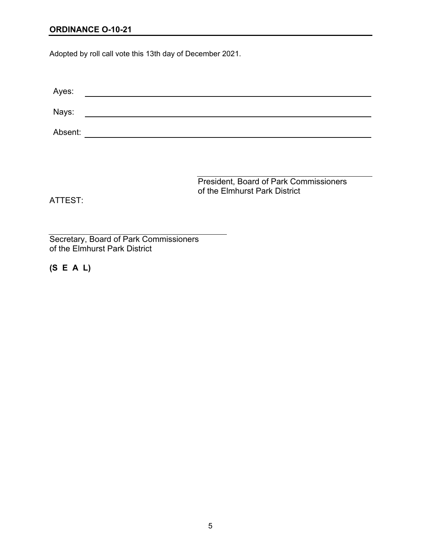#### **ORDINANCE O-10-21**

Adopted by roll call vote this 13th day of December 2021.

| Ayes:   |  |
|---------|--|
| Nays:   |  |
| Absent: |  |
|         |  |

President, Board of Park Commissioners of the Elmhurst Park District

ATTEST:

Secretary, Board of Park Commissioners of the Elmhurst Park District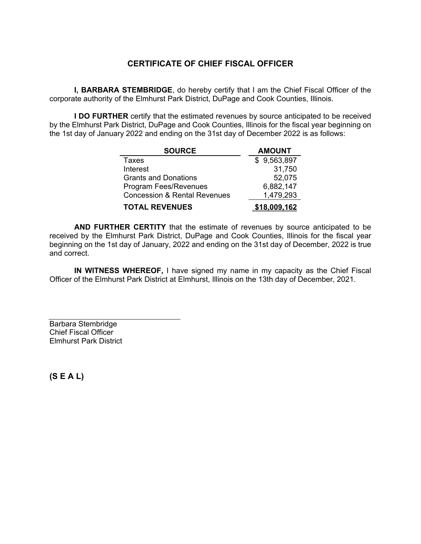# **CERTIFICATE OF CHIEF FISCAL OFFICER**

**I, BARBARA STEMBRIDGE**, do hereby certify that I am the Chief Fiscal Officer of the corporate authority of the Elmhurst Park District, DuPage and Cook Counties, Illinois.

**I DO FURTHER** certify that the estimated revenues by source anticipated to be received by the Elmhurst Park District, DuPage and Cook Counties, Illinois for the fiscal year beginning on the 1st day of January 2022 and ending on the 31st day of December 2022 is as follows:

| <b>SOURCE</b>                           | <b>AMOUNT</b> |
|-----------------------------------------|---------------|
| Taxes                                   | \$9,563,897   |
| Interest                                | 31,750        |
| <b>Grants and Donations</b>             | 52,075        |
| <b>Program Fees/Revenues</b>            | 6,882,147     |
| <b>Concession &amp; Rental Revenues</b> | 1,479,293     |
| <b>TOTAL REVENUES</b>                   | \$18.009.162  |

**AND FURTHER CERTITY** that the estimate of revenues by source anticipated to be received by the Elmhurst Park District, DuPage and Cook Counties, Illinois for the fiscal year beginning on the 1st day of January, 2022 and ending on the 31st day of December, 2022 is true and correct.

 **IN WITNESS WHEREOF,** I have signed my name in my capacity as the Chief Fiscal Officer of the Elmhurst Park District at Elmhurst, Illinois on the 13th day of December, 2021.

Barbara Stembridge Chief Fiscal Officer Elmhurst Park District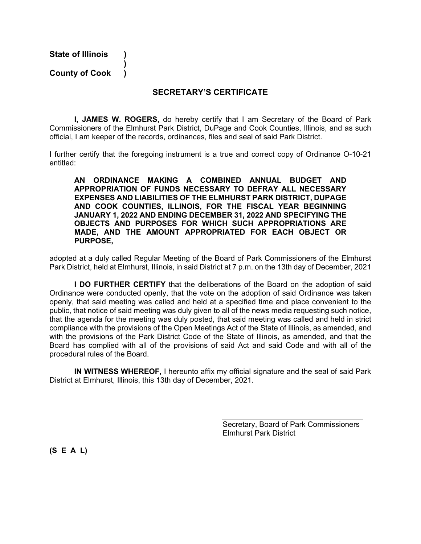**State of Illinois )** 

 **) County of Cook )** 

#### **SECRETARY'S CERTIFICATE**

**I, JAMES W. ROGERS,** do hereby certify that I am Secretary of the Board of Park Commissioners of the Elmhurst Park District, DuPage and Cook Counties, Illinois, and as such official, I am keeper of the records, ordinances, files and seal of said Park District.

I further certify that the foregoing instrument is a true and correct copy of Ordinance O-10-21 entitled:

**AN ORDINANCE MAKING A COMBINED ANNUAL BUDGET AND APPROPRIATION OF FUNDS NECESSARY TO DEFRAY ALL NECESSARY EXPENSES AND LIABILITIES OF THE ELMHURST PARK DISTRICT, DUPAGE AND COOK COUNTIES, ILLINOIS, FOR THE FISCAL YEAR BEGINNING JANUARY 1, 2022 AND ENDING DECEMBER 31, 2022 AND SPECIFYING THE OBJECTS AND PURPOSES FOR WHICH SUCH APPROPRIATIONS ARE MADE, AND THE AMOUNT APPROPRIATED FOR EACH OBJECT OR PURPOSE,** 

adopted at a duly called Regular Meeting of the Board of Park Commissioners of the Elmhurst Park District, held at Elmhurst, Illinois, in said District at 7 p.m. on the 13th day of December, 2021

**I DO FURTHER CERTIFY** that the deliberations of the Board on the adoption of said Ordinance were conducted openly, that the vote on the adoption of said Ordinance was taken openly, that said meeting was called and held at a specified time and place convenient to the public, that notice of said meeting was duly given to all of the news media requesting such notice, that the agenda for the meeting was duly posted, that said meeting was called and held in strict compliance with the provisions of the Open Meetings Act of the State of Illinois, as amended, and with the provisions of the Park District Code of the State of Illinois, as amended, and that the Board has complied with all of the provisions of said Act and said Code and with all of the procedural rules of the Board.

 **IN WITNESS WHEREOF,** I hereunto affix my official signature and the seal of said Park District at Elmhurst, Illinois, this 13th day of December, 2021.

> Secretary, Board of Park Commissioners Elmhurst Park District